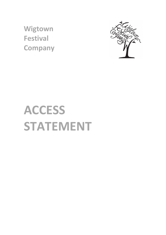**Wigtown Festival Company**



# **ACCESS STATEMENT**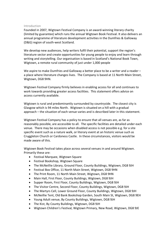## Introduction

Founded in 2007, Wigtown Festival Company is an award-winning literary charity (limited by guarantee) which runs the annual Wigtown Book Festival. It also delivers an annual programme of literature development activities in the Dumfries & Galloway (D&G) region of south-west Scotland.

We develop new audiences, help writers fulfil their potential, support the region's literature sector and create opportunities for young people to enjoy and learn through writing and storytelling. Our organisation is based in Scotland's National Book Town, Wigtown, a remote rural community of just under 1,000 people

We aspire to make Dumfries and Galloway a better place to be a writer and a reader a place where literature changes lives. The Company is based at 11 North Main Street, Wigtown, DG8 9HN.

Wigtown Festival Company firmly believes in enabling access for all and continues to work towards providing greater access facilities. This statement offers advice on access currently available.

Wigtown is rural and predominantly surrounded by countryside. The closest city is Glasgow which is 94 miles North. Wigtown is situated on a hill with a gradual approach – the situation of each venue varies and is described later in this statement.

Wigtown Festival Company has a policy to ensure that all venues are, as far as reasonably possible, are accessible to all. The specific facilities are detailed under each venue. There may be occasions when disabled access is not possible e.g. for a site specific event such as a nature walk, or literary event at an historic venue such as Cruggleton Church or Cardoness Castle. In these circumstances, visitors would be made aware of this.

Wigtown Book Festival takes place across several venues in and around Wigtown. Primarily these are:

- Festival Marquee, Wigtown Square
- Festival Bookshop, Wigtown Square
- The McNeillie Library, Ground Floor, County Buildings, Wigtown, DG8 9JH
- Festival Box Office, 11 North Main Street, Wigtown, DG8 9HN
- The Print Room, 11 North Main Street, Wigtown, DG8 9HN
- Main Hall, First Floor, County Buildings, Wigtown, DG8 9JH
- Supper Room, First Floor, County Buildings, Wigtown, DG8 9JH
- The Visitor Centre, Second Floor, County Buildings, Wigtown, DG8 9JH
- The Martyrs Cell, Lower Ground Floor, County Buildings, Wigtown, DG8 9JH
- McNeillie Tent, Old Bank Bookshop Garden, South Main St, Wigtown, DG8 9EH
- Young Adult venue, By County Buildings, Wigtown, DG8 9JH
- The Kist, By County Buildings, Wigtown, DG8 9JH
- Wigtown Children's Festival, Wigtown Primary, New Road, Wigtown, DG8 9JE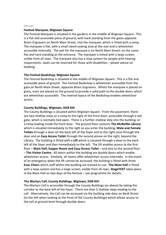#### Venues

#### **Festival Marquee, Wigtown Square**

The Festival Marquee is situated in the gardens in the middle of Wigtown Square. This is a flat and accessible piece of ground, with hard standing from the gates opposite Briars Engravers on North Main Street, into the marquee, which is fitted with a ramp. The marquee is flat, with a small raked seating area at the rear and is wheelchair accessible internally. The exit for the marquee is on North Main Street, on the same flat and hard standing as the entrance. The marquee is kitted with a large screen, visible from all rows. The marquee also has a loop system for people with hearing impairments. Seats can be reserved for those with disabilities – please advise on booking.

# **The Festival Bookshop, Wigtown Square**

The Festival Bookshop is situated in the middle of Wigtown Square. This is a flat and accessible piece of ground. The Festival Bookshop is wheelchair accessible from the gate on North Main Street, opposite Briars Engravers. Whilst the marquee is placed on grass, mats are placed on the ground to provide a solid path to the double doors which are wheelchair accessible. The internal layout of the Bookshop enables wheelchair access.

## **County Buildings, Wigtown, DG8 9JH**

The County Buildings is situated within Wigtown Square. From the pavement, there are two shallow steps or a ramp to the right of the front door, accessible through a red gate, which is normally tied open. There is a further shallow step into the building, or a ramp leading inside the front door. The ground floor contains **The McNeillie Library**  which is situated immediately to the right as you enter the building, **Male and Female Toilets** through a door on the back left of the foyer and to the right once through the door and an **Easy Access Toilet** through the second alcove on the right, beyond the Library. The building is fitted with a **Lift** which is situated through a door to the back left of the foyer and then immediately to the left. The lift enables access to the first floor – **Main Hall, Supper Room and Easy Access Toilet** – and also to the second floor – **The Visitor Centre.** All doors within the building are double doors which enable wheelchair access. Similarly, all rooms offer wheelchair access internally. In the event of an emergency when the lift cannot be accessed, the building is fitted with three **Evac Chairs** which staff within the building are trained to use. **The Main Hall** is fitted with a loop system and has a large screen, visible from all rows. **StageTEXT** takes place in the Main Hall on two days of the festival – see programme for details.

#### **The Martyrs Cell, County Buildings, Wigtown, DG8 9JH**

The Martyrs Cell is accessible through the County Buildings (as above) by taking the corridor to the back left of the foyer. There are then 5 shallow steps leading to the cell. Alternatively, the Cell can be accessed via the building side door on Bank Street (to the left when looking at the front of the County Buildings) which allows access to the cell at ground level through double doors.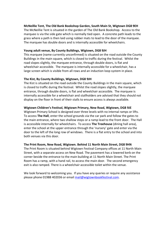# **McNeillie Tent, The Old Bank Bookshop Garden, South Main St, Wigtown DG8 9EH**

The McNeillie Tent is situated in the garden of The Old Bank Bookshop. Access to the marquee is via the side gate which is normally tied open. A concrete path leads to the grass where a path is then laid using rubber mats to lead to the door of the marquee. The marquee has double doors and is internally accessible for wheelchairs.

# **Young adult venue, By County Buildings, Wigtown, DG8 9JH**

This marquee (name currently unconfirmed) is situated on the road outside the County Buildings in the main square, which is closed to traffic during the festival. Whilst the road slopes slightly, the marquee entrance, through double doors, is flat and wheelchair accessible. The marquee is internally accessible for a wheelchair, has a large screen which is visible from all rows and an induction loop system in place.

# **The Kist, By County Buildings, Wigtown, DG8 9JH**

The Kist is situated on the road outside the County Buildings in the main square, which is closed to traffic during the festival. Whilst the road slopes slightly, the marquee entrance, through double doors, is flat and wheelchair accessible. The marquee is internally accessible for a wheelchair and stallholders are advised that they should not display on the floor in front of their stalls to ensure access is always available.

# **Wigtown Children's Festival, Wigtown Primary, New Road, Wigtown, DG8 9JE**

Wigtown Primary School is designed over three levels with no internal ramps or lifts. To access **The Hall**, enter the school grounds via the car park and follow the gates to the main entrance, where two shallow steps or a ramp lead to the front door. The Hall is accessible internally for wheelchairs. To access **The Treehouse** (dining hall area), enter the school at the upper entrance through the 'nursery' gate and enter via the door to the left of the long row of windows. There is a flat entry to the school and into both venues via this door.

# **The Print Room, New Road, Wigtown. Behind 11 North Main Street, DG8 9HN**

The Print Room is situated behind Wigtown Festival Company offices at 11 North Main Street, with a separate access on New Road. The pavement has a lowered kerb on the corner beside the entrance to the main building at 11 North Main Street. The Print Room has a ramp, with a hand rail, to access the main door. The second emergency exit is also ramped. There is a wheelchair accessible toilet within the venue.

We look forward to welcoming you. If you have any queries or require any assistance please phone 01988 402036 or email mail@wigtownbookfestival.com.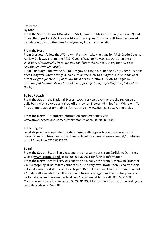#### Pre-Arrival

#### **By road**

**From the South** - follow M6 onto the M74, leave the M74 at Gretna (junction 22) and follow the signs for A75 Stranraer (drive time approx. 1.5 hours). At Newton Stewart roundabout, pick up the signs for Wigtown, 1st exit on the left.

## **From the North** -

From Glasgow - follow the A77 to Ayr. From Ayr take the signs for A713 Castle Douglas. At New Galloway pick up the A712 'Queens Way' to Newton Stewart then onto Wigtown. *Alternatively, from Ayr, you can follow the A77 to Girvan, then A714 to Newton Stewart via Barhill*.

From Edinburgh - follow the M8 to Glasgow and then pick up the A77 (as per directions from Glasgow). *Alternatively, head south on the A702 to Abington and onto the M74, exit at Moffat (junction 15) at follow the A701 to Dumfries. Follow the signs A75 Stranraer, at Newton Stewart roundabout, pick up the signs for Wigtown, 1st exit on the left*.

# **By bus / coach**

**From the South** - the National Express coach service travels across the region on a daily basis with a pick up and drop off at Newton Stewart (6 miles from Wigtown). To find out more about timetable information visit www.dumgal.gov.uk/timetables

**From the North** – for further information and time tables visit www.travelinescotland.com/lts/#/timetables or call 0870 6082608

# **In the Region** -

Local stage services operate on a daily basis, with regular bus services across the region from Dumfries. For further timetable info visit www.dumgal.gov.uk/timetables or call TravelLine 0870 6082608.

# **By rail**

**From the South** - Scotrail services operate on a daily basis from Carlisle to Dumfries. Click onwww.scotrail.co.uk or call 0870 606 2031 for further information. **From the North** - Scotrail services operate on a daily basis from Glasgow to Stranraer via Ayr stopping at Barrhill to connect by bus to Wigtown. (Note there is no transport links between the station and the village of Barrhill to connect to the bus and is about a 1 mile walk downhill from the station. Information regarding the bus frequency can be found at www.travelinescotland.com/lts/#/timetables or call 0870 6082608 Click on www.scotrail.co.uk or call 0870 606 2031 for further information regarding the train timetables to Barrhill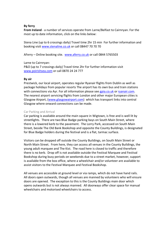# **By ferry**

**From Ireland** - a number of services operate from Larne/Belfast to Cairnryan. For the most up to date information, click on the links below:

Stena Line (up to 6 crossings daily) Travel time 2hr 15 min For further information and booking visit www.stenaline.co.uk or call 08447 70 70 70

AFerry - Online booking site. www.aferry.co.uk or call 0844 5765503

## Larne to Cairnryan:

P&O (up to 7 crossings daily) Travel time 2hr For further information visit www.poirishsea.com or call 0870 24 24 777

## **By air**

Prestwick, our local airport, operates regular Ryanair flights from Dublin as well as package holidays from popular resorts The airport has its own bus and train stations with connections via Ayr. For all information please see gpia.co.uk or ryanair.com. The nearest airport servicing flights from London and other major European cities is Glasgow Airport, (www.glasgowairport.com) which has transport links into central Glasgow where onward connections can be made.

# Car Parking and Arrival

Car parking is available around the main square in Wigtown, is free and is well lit by streetlights. There are two Blue Badge parking bays on South Main Street, where there is a lowered kerb to the pavement. The Lorry Park, accessed on South Main Street, beside The Old Bank Bookshop and opposite the County Buildings, is designated for Blue Badge holders during the festival and is a flat, tarmac surface.

Visitors can be dropped off outside the County Buildings, on South Main Street or North Main Street. From here, they can access all venues in the County Buildings, the young adult marquee and The Kist. The road here is closed to traffic and therefore there is no kerb. Drop off is not available outside the Festival Marquee and Festival Bookshop during busy periods on weekends due to a street market, however, support is available from the box office, where a wheelchair and/or volunteer are available to assist visitors to the Festival Marquee and Festival Bookshop.

All venues are accessible at ground level or via ramps, which do not have hand rails. All doors open outwards, though all venues are manned by volunteers who will ensure doors are opened. The exception to this is the County Buildings main door which opens outwards but is not always manned. All doorways offer clear space for manual wheelchairs and motorised wheelchairs to access.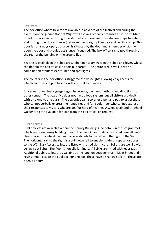#### Box Office

The box office where tickets are available in advance of the festival and during the event is on the ground floor of Wigtown Festival Company premises at 11 North Main Street. It is accessible through the shop where there are three shallow steps to enter, and through the side entrance (between two upright pillars) accessible via a ramp. This door is not always open, but a bell is situated by the door and a member of staff will open the door and provide assistance if required. The box office is situated through at the rear of the building on the ground floor.

Seating is available in the shop area. The floor is laminate in the shop and foyer, whilst the floor in the box office is a short pile carpet. The entire area is well lit with a combination of fluorescent tubes and spot lights.

The counter in the box office is staggered at two heights allowing easy access for wheelchair users to purchase tickets and make enquiries.

All venues offer clear signage regarding events, payment methods and directions to other venues. The box office does not have a loop system, but all visitors are dealt with on a one to one basis. The box office can also offer a pen and pad to assist those who cannot verbally express their enquiries and for a volunteer who cannot express their responses to visitors who are deaf or hard of hearing. A wheelchair and tri-wheel walker are both available for loan from the box office, on request.

#### Public Toilets

Public toilets are available within the County Buildings (see details in the programme) which are open during building hours. The Easy Access toilets described here all have clear space for a wheelchair and have grab rails to the left and the right of the WC. The horizontal rail to the right is a pull down rail to enable maximum space for access to the WC. Easy Access toilets are fitted with a red alarm cord. Toilets are well lit with ceiling spot lights. The floor is non-slip laminate. All sinks are fitted with lever taps. Additional public toilets are available at the junction between North Main Street and High Vennel, beside the public telephone box, these have a shallow step in. These are open 24 hours.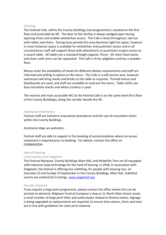#### Catering

The Festival Cafe, within the County Buildings (see programme) is located on the first floor and accessible by lift. The door to this facility is always wedged open during opening times and enables wheelchair access. The Cafe is level throughout, laid out with tables and chairs. During busy periods this area becomes tight for space, however in most instances space is available for wheelchair and pushchair access and in all circumstances staff will support those with wheelchairs or pushchairs to gain access to a vacant table. All tables are a standard height (approx 75cm). All chairs have backs and chairs with arms can be requested. The Cafe is lit by uplighters and has a wooden floor.

Menus state the availability of meals for different dietary requirements and staff are informed and willing to advise on the menu. The Cafe is a self-service area, however waitresses will bring meals and drinks to the table as required. Printed menus and blackboards are used, and staff are available to read out the menu. Table cloths are blue and white checks and white crockery is used.

The nearest and most accessible WC to the Festival Cafe is on the same level (first floor of the County Buildings), along the corridor beside the lift.

## Additional Information

Festival staff are trained in evacuation procedures and the use of evacuation chairs within the County Buildings.

Assistance dogs are welcome.

Festival staff are able to support in the booking of accommodation where an access statement is required prior to booking. For details, contact the office on 01988402036.

#### Hard of Hearing

# Loop Systems and Stagetext

The Festival Marquee, County Buildings Main Hall, and McNeillie Tent are all equipped with induction loop technology for the hard of hearing. In 2018, in association with Stagetext, the festival is offering live subtitling, for people with hearing loss, on Saturday 22 and Sunday 23 September in the County Buildings, Main Hall. Subtitled events are marked (S) in listings. www.stagetext.org.

# Visually Impaired

If you require a large print programme, please contact the office where this can be printed on demand. Wigtown Festival Company's shop at 11 North Main Street stocks a small number of large print titles and audio books related to festival events. Signage is being upgraded as replacements are required, to ensure that colours, fonts and sizes are in line with guidelines for clear print material.